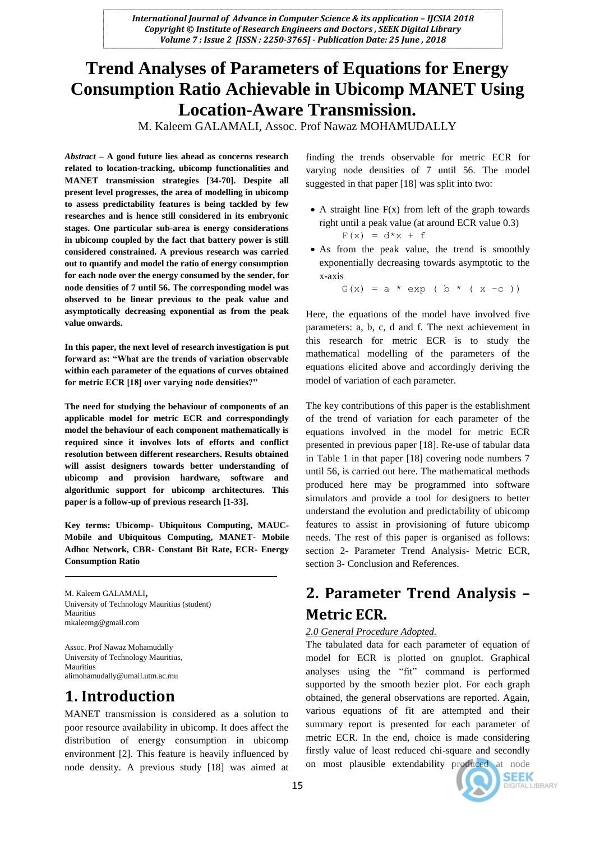# **Trend Analyses of Parameters of Equations for Energy Consumption Ratio Achievable in Ubicomp MANET Using Location-Aware Transmission.**

M. Kaleem GALAMALI, Assoc. Prof Nawaz MOHAMUDALLY

*Abstract* **– A good future lies ahead as concerns research related to location-tracking, ubicomp functionalities and MANET transmission strategies [34-70]. Despite all present level progresses, the area of modelling in ubicomp to assess predictability features is being tackled by few researches and is hence still considered in its embryonic stages. One particular sub-area is energy considerations in ubicomp coupled by the fact that battery power is still considered constrained. A previous research was carried out to quantify and model the ratio of energy consumption for each node over the energy consumed by the sender, for node densities of 7 until 56. The corresponding model was observed to be linear previous to the peak value and asymptotically decreasing exponential as from the peak value onwards.**

**In this paper, the next level of research investigation is put forward as: "What are the trends of variation observable within each parameter of the equations of curves obtained for metric ECR [18] over varying node densities?"**

**The need for studying the behaviour of components of an applicable model for metric ECR and correspondingly model the behaviour of each component mathematically is required since it involves lots of efforts and conflict resolution between different researchers. Results obtained will assist designers towards better understanding of ubicomp and provision hardware, software and algorithmic support for ubicomp architectures. This paper is a follow-up of previous research [1-33].**

**Key terms: Ubicomp- Ubiquitous Computing, MAUC-Mobile and Ubiquitous Computing, MANET- Mobile Adhoc Network, CBR- Constant Bit Rate, ECR- Energy Consumption Ratio**

M. Kaleem GALAMALI, University of Technology Mauritius (student) Mauritius mkaleemg@gmail.com

Assoc. Prof Nawaz Mohamudally University of Technology Mauritius, Mauritius alimohamudally@umail.utm.ac.mu

# **1. Introduction**

MANET transmission is considered as a solution to poor resource availability in ubicomp. It does affect the distribution of energy consumption in ubicomp environment [2]. This feature is heavily influenced by node density. A previous study [18] was aimed at finding the trends observable for metric ECR for varying node densities of 7 until 56. The model suggested in that paper [18] was split into two:

- $\bullet$  A straight line  $F(x)$  from left of the graph towards right until a peak value (at around ECR value 0.3)  $F(x) = d*x + f$
- As from the peak value, the trend is smoothly exponentially decreasing towards asymptotic to the x-axis

 $G(x) = a * exp (b * (x -c))$ 

Here, the equations of the model have involved five parameters: a, b, c, d and f. The next achievement in this research for metric ECR is to study the mathematical modelling of the parameters of the equations elicited above and accordingly deriving the model of variation of each parameter.

The key contributions of this paper is the establishment of the trend of variation for each parameter of the equations involved in the model for metric ECR presented in previous paper [18]. Re-use of tabular data in Table 1 in that paper [18] covering node numbers 7 until 56, is carried out here. The mathematical methods produced here may be programmed into software simulators and provide a tool for designers to better understand the evolution and predictability of ubicomp features to assist in provisioning of future ubicomp needs. The rest of this paper is organised as follows: section 2- Parameter Trend Analysis- Metric ECR, section 3- Conclusion and References.

# **2. Parameter Trend Analysis – Metric ECR.**

## *2.0 General Procedure Adopted.*

The tabulated data for each parameter of equation of model for ECR is plotted on gnuplot. Graphical analyses using the "fit" command is performed supported by the smooth bezier plot. For each graph obtained, the general observations are reported. Again, various equations of fit are attempted and their summary report is presented for each parameter of metric ECR. In the end, choice is made considering firstly value of least reduced chi-square and secondly on most plausible extendability produced at node

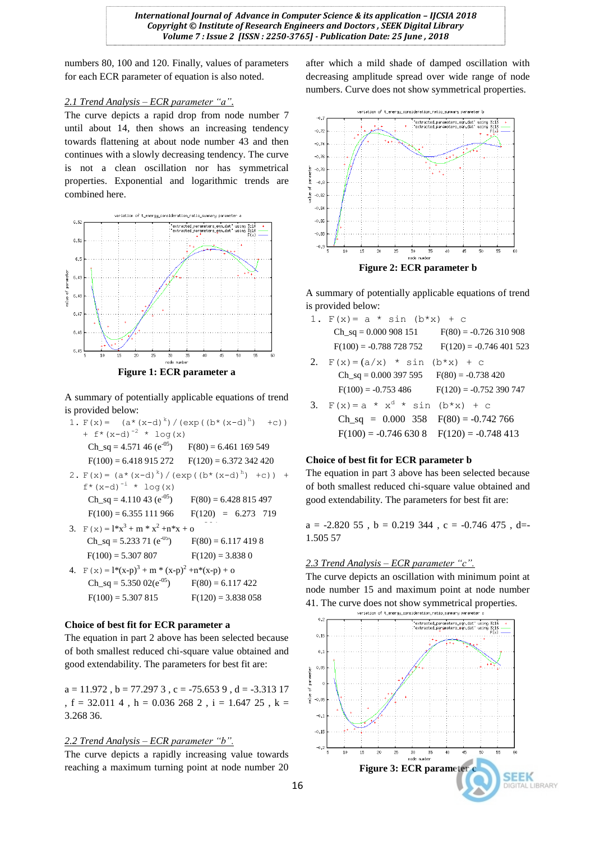numbers 80, 100 and 120. Finally, values of parameters for each ECR parameter of equation is also noted.

#### *2.1 Trend Analysis – ECR parameter "a".*

The curve depicts a rapid drop from node number 7 until about 14, then shows an increasing tendency towards flattening at about node number 43 and then continues with a slowly decreasing tendency. The curve is not a clean oscillation nor has symmetrical properties. Exponential and logarithmic trends are combined here.



A summary of potentially applicable equations of trend is provided below:

|                            | 1. $F(x) = (a*(x-d)^{k}) / (exp((b*(x-d)^{h}))$<br>$+C)$ ) |                       |  |
|----------------------------|------------------------------------------------------------|-----------------------|--|
| + $f^*(x-d)^{-2}$ * log(x) |                                                            |                       |  |
|                            | Ch_sq = 4.571 46 ( $e^{-0.5}$ ) F(80) = 6.461 169 549      |                       |  |
|                            | $F(100) = 6.418915272$ $F(120) = 6.372342420$              |                       |  |
|                            | 2. $F(x) = (a*(x-d)^{k}) / (exp((b*(x-d)^{h}) + c)) +$     |                       |  |
|                            | $f^*(x-d)^{-1} * log(x)$                                   |                       |  |
|                            | $Ch_sq = 4.11043 (e^{-0.5})$                               | $F(80) = 6.428815497$ |  |
|                            | $F(100) = 6.355111966$                                     | $F(120) = 6.273$ 719  |  |
|                            | 3. $F(x) = 1*x^3 + m * x^2 + n*x + o$                      |                       |  |
|                            | Ch_sq = $5.233$ 71 (e <sup>-05</sup> )                     | $F(80) = 6.1174198$   |  |
|                            | $F(100) = 5.307807$                                        | $F(120) = 3.8380$     |  |
|                            | 4. $F(x) = 1*(x-p)^3 + m * (x-p)^2 + n*(x-p) + o$          |                       |  |
|                            | $Ch\_sq = 5.35002(e^{-0.5})$                               | $F(80) = 6.117422$    |  |
|                            | $F(100) = 5.307815$                                        | $F(120) = 3.838058$   |  |

#### **Choice of best fit for ECR parameter a**

The equation in part 2 above has been selected because of both smallest reduced chi-square value obtained and good extendability. The parameters for best fit are:

 $a = 11.972$ ,  $b = 77.2973$ ,  $c = -75.6539$ ,  $d = -3.31317$ , f = 32.011 4 , h = 0.036 268 2 , i = 1.647 25 , k = 3.268 36.

## *2.2 Trend Analysis – ECR parameter "b".*

The curve depicts a rapidly increasing value towards reaching a maximum turning point at node number 20 after which a mild shade of damped oscillation with decreasing amplitude spread over wide range of node numbers. Curve does not show symmetrical properties.



A summary of potentially applicable equations of trend is provided below:

|    | 1. $F(x) = a * sin (b*x) + c$                          |                         |
|----|--------------------------------------------------------|-------------------------|
|    | $Ch$ <sub>sq</sub> = 0.000 908 151                     | $F(80) = -0.726310908$  |
|    | $F(100) = -0.788728752$                                | $F(120) = -0.746401523$ |
| 2. | $F(x) = (a/x) * sin$                                   | $(b*x) + c$             |
|    | $Ch$ <sub>sq</sub> = 0.000 397 595 $F(80) = -0.738420$ |                         |
|    | $F(100) = -0.753486$ $F(120) = -0.752390747$           |                         |
| 3. | $F(x) = a * xd * sin$                                  | $(b*x) + c$             |
|    | $Ch\_sq = 0.000$ 358 $F(80) = -0.742$ 766              |                         |
|    | $F(100) = -0.7466308$ $F(120) = -0.748413$             |                         |

#### **Choice of best fit for ECR parameter b**

The equation in part 3 above has been selected because of both smallest reduced chi-square value obtained and good extendability. The parameters for best fit are:

 $a = -2.82055$ ,  $b = 0.219344$ ,  $c = -0.746475$ , d= 1.505 57

## *2.3 Trend Analysis – ECR parameter "c".*

The curve depicts an oscillation with minimum point at node number 15 and maximum point at node number 41. The curve does not show symmetrical properties.

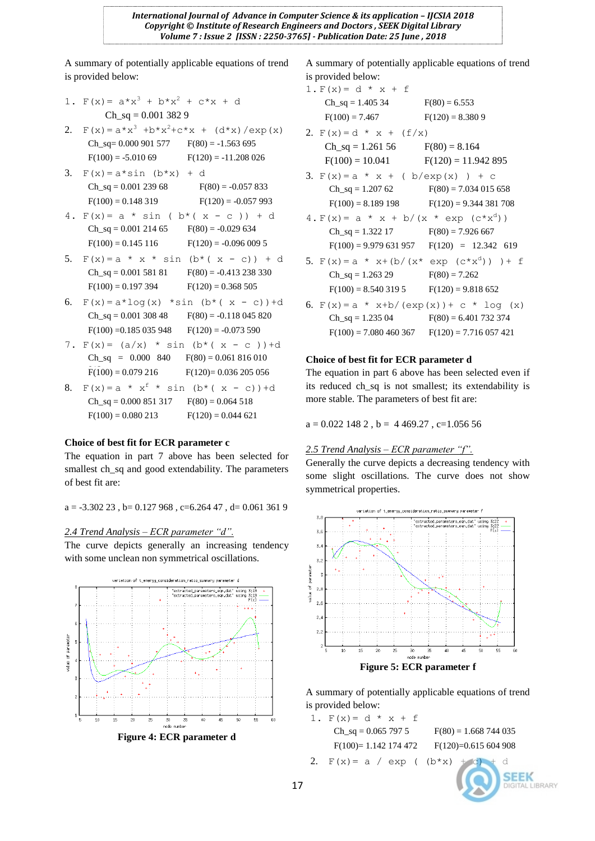A summary of potentially applicable equations of trend is provided below:

1. 
$$
F(x) = a*x^3 + b*x^2 + c*x + d
$$
  
\nCh\_sq = 0.001 382 9  
\n2.  $F(x) = a*x^3 + b*x^2 + c*x + (d*x) / exp(x)$   
\nCh\_sq = 0.000 901 577  $F(80) = -1.563 695$   
\n $F(100) = -5.010 69$   $F(120) = -11.208 026$   
\n3.  $F(x) = a * sin (b*x) + d$   
\nCh\_sq = 0.001 239 68  $F(80) = -0.057 833$   
\n $F(100) = 0.148 319$   $F(120) = -0.057 993$   
\n4.  $F(x) = a * sin (b * (x - c)) + d$   
\nCh\_sq = 0.001 214 65  $F(80) = -0.029 634$   
\n $F(100) = 0.145 116$   $F(120) = -0.096 009 5$   
\n5.  $F(x) = a * x * sin (b * (x - c)) + d$   
\nCh\_sq = 0.001 581 81  $F(80) = -0.413 238 330$   
\n $F(100) = 0.197 394$   $F(120) = 0.368 505$   
\n6.  $F(x) = a * log(x) * sin (b * (x - c)) + d$   
\nCh\_sq = 0.001 308 48  $F(80) = -0.118 045 820$ 

- $F(100) = 0.185\,035\,948$   $F(120) = -0.073\,590$ 7.  $F(x) = (a/x) * sin (b*(x - c)) + d$  $Ch_sq = 0.000 840$  $F(80) = 0.061816010$ 
	- $F(100) = 0.079216$  $F(120) = 0.036 205 056$
- 8.  $F(x) = a * x^f * sin (b * (x c)) + d$  $Ch_sq = 0.000 851 317$   $F(80) = 0.064 518$  $F(100) = 0.080213$   $F(120) = 0.044621$

## **Choice of best fit for ECR parameter c**

The equation in part 7 above has been selected for smallest ch\_sq and good extendability. The parameters of best fit are:

 $a = -3.30223$ ,  $b = 0.127968$ ,  $c = 6.26447$ ,  $d = 0.0613619$ 

### *2.4 Trend Analysis – ECR parameter "d".*

The curve depicts generally an increasing tendency with some unclean non symmetrical oscillations.



**Figure 4: ECR parameter d**

A summary of potentially applicable equations of trend is provided below:

| 1. $F(x) = d * x + f$                           |                                             |
|-------------------------------------------------|---------------------------------------------|
| $Ch_sq = 1.40534$ $F(80) = 6.553$               |                                             |
| $F(100) = 7.467$                                | $F(120) = 8.3809$                           |
| 2. $F(x) = d * x + (f/x)$                       |                                             |
| $Ch_sq = 1.26156$ $F(80) = 8.164$               |                                             |
| $F(100) = 10.041$ $F(120) = 11.942895$          |                                             |
| 3. $F(x) = a * x + (b/exp(x)) + c$              |                                             |
|                                                 | $Ch_sq = 1.20762$ $F(80) = 7.034015658$     |
|                                                 | $F(100) = 8.189198$ $F(120) = 9.344381708$  |
| 4. $F(x) = a * x + b/(x * exp (c * xd))$        |                                             |
| $Ch$ <sub>Sq</sub> = 1.322 17 F(80) = 7.926 667 |                                             |
|                                                 | $F(100) = 9.979631957$ $F(120) = 12.342619$ |
| 5. $F(x) = a * x + (b/(x * exp (c * xd))) + f$  |                                             |
| $Ch_sq = 1.26329$ $F(80) = 7.262$               |                                             |
| $F(100) = 8.5403195$ $F(120) = 9.818652$        |                                             |
| 6. $F(x) = a * x+b/(exp(x)) + c * log(x)$       |                                             |
|                                                 | $Ch_sq = 1.23504$ $F(80) = 6.401732374$     |
| $F(100) = 7.080460367$                          | $F(120) = 7.716057421$                      |

#### **Choice of best fit for ECR parameter d**

The equation in part 6 above has been selected even if its reduced ch\_sq is not smallest; its extendability is more stable. The parameters of best fit are:

 $a = 0.022$  148 2,  $b = 4469.27$ ,  $c=1.05656$ 

#### *2.5 Trend Analysis – ECR parameter "f".*

Generally the curve depicts a decreasing tendency with some slight oscillations. The curve does not show symmetrical properties.



A summary of potentially applicable equations of trend is provided below:

1.  $F(x) = d * x + f$ Ch\_sq =  $0.065$  797 5 F(80) = 1.668 744 035 F(100)= 1.142 174 472 F(120)=0.615 604 908 2.  $F(x) = a / exp ( (b*x) + c) + d$ 

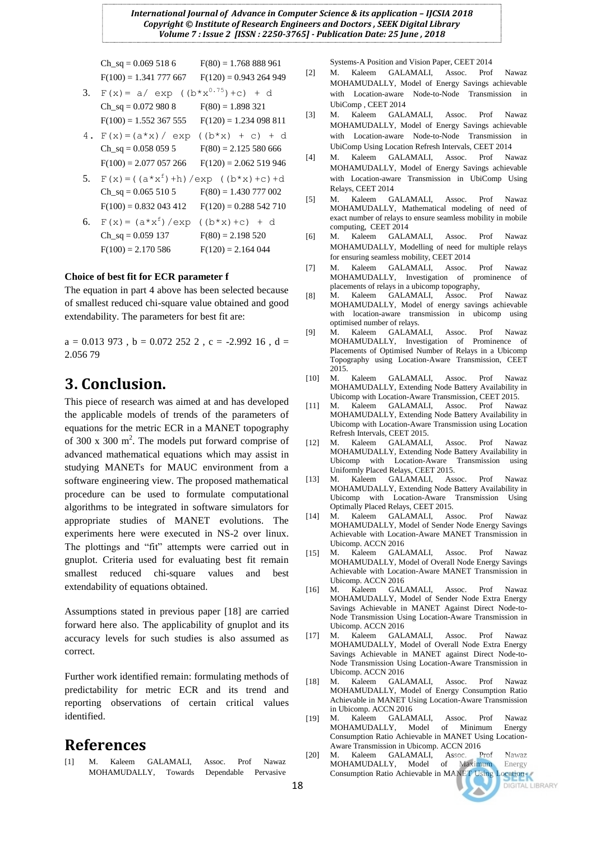Ch sq = 0.069 518 6 F(80) = 1.768 888 961  $F(100) = 1.341 777 667$   $F(120) = 0.943 264 949$ 

- 3.  $F(x) = a / exp ((b*x<sup>0.75</sup>) + c) + d$ Ch sq =  $0.072$  980 8 F(80) = 1.898 321  $F(100) = 1.552367555$   $F(120) = 1.234098811$
- 4.  $F(x) = (a * x) / exp ((b * x) + c) + d$ Ch\_sq =  $0.058$  059 5 F(80) = 2.125 580 666  $F(100) = 2.077 057 266$   $F(120) = 2.062 519 946$
- 5.  $F(x) = ((a*x^f) + h)/exp ((b*x) + c) + d$  $Ch_sq = 0.0655105$   $F(80) = 1.430777002$  $F(100) = 0.832\,043\,412$   $F(120) = 0.288\,542\,710$
- 6.  $F(x) = (a * x^f) / exp$  $((b*x)+c) + d$  $Ch_sq = 0.059137$   $F(80) = 2.198520$  $F(100) = 2.170586$   $F(120) = 2.164044$

### **Choice of best fit for ECR parameter f**

The equation in part 4 above has been selected because of smallest reduced chi-square value obtained and good extendability. The parameters for best fit are:

 $a = 0.013973$ ,  $b = 0.0722522$ ,  $c = -2.99216$ ,  $d =$ 2.056 79

# **3. Conclusion.**

This piece of research was aimed at and has developed the applicable models of trends of the parameters of equations for the metric ECR in a MANET topography of 300  $x$  300 m<sup>2</sup>. The models put forward comprise of advanced mathematical equations which may assist in studying MANETs for MAUC environment from a software engineering view. The proposed mathematical procedure can be used to formulate computational algorithms to be integrated in software simulators for appropriate studies of MANET evolutions. The experiments here were executed in NS-2 over linux. The plottings and "fit" attempts were carried out in gnuplot. Criteria used for evaluating best fit remain smallest reduced chi-square values and best extendability of equations obtained.

Assumptions stated in previous paper [18] are carried forward here also. The applicability of gnuplot and its accuracy levels for such studies is also assumed as correct.

Further work identified remain: formulating methods of predictability for metric ECR and its trend and reporting observations of certain critical values identified.

# **References**

M. Kaleem GALAMALI, Assoc. Prof Nawaz MOHAMUDALLY, Towards Dependable Pervasive Systems-A Position and Vision Paper, CEET 2014

- [2] M. Kaleem GALAMALI, Assoc. Prof Nawaz MOHAMUDALLY, Model of Energy Savings achievable with Location-aware Node-to-Node Transmission in UbiComp , CEET 2014
- [3] M. Kaleem GALAMALI, Assoc. Prof Nawaz MOHAMUDALLY, Model of Energy Savings achievable with Location-aware Node-to-Node Transmission in UbiComp Using Location Refresh Intervals, CEET 2014
- [4] M. Kaleem GALAMALI, Assoc. Prof Nawaz MOHAMUDALLY, Model of Energy Savings achievable with Location-aware Transmission in UbiComp Using Relays, CEET 2014
- [5] M. Kaleem GALAMALI, Assoc. Prof Nawaz MOHAMUDALLY, Mathematical modeling of need of exact number of relays to ensure seamless mobility in mobile computing, CEET 2014
- [6] M. Kaleem GALAMALI, Assoc. Prof Nawaz MOHAMUDALLY, Modelling of need for multiple relays for ensuring seamless mobility, CEET 2014
- [7] M. Kaleem GALAMALI, Assoc. Prof Nawaz MOHAMUDALLY, Investigation of prominence of placements of relays in a ubicomp topography,
- [8] M. Kaleem GALAMALI, Assoc. Prof Nawaz MOHAMUDALLY, Model of energy savings achievable with location-aware transmission in ubicomp using optimised number of relays.
- [9] M. Kaleem GALAMALI, Assoc. Prof Nawaz MOHAMUDALLY, Investigation of Prominence of Placements of Optimised Number of Relays in a Ubicomp Topography using Location-Aware Transmission, CEET 2015.
- [10] M. Kaleem GALAMALI, Assoc. Prof Nawaz MOHAMUDALLY, Extending Node Battery Availability in Ubicomp with Location-Aware Transmission, CEET 2015.<br>M. Kaleem GALAMALI, Assoc. Prof Nawa
- [11] M. Kaleem GALAMALI, Assoc. Prof Nawaz MOHAMUDALLY, Extending Node Battery Availability in Ubicomp with Location-Aware Transmission using Location Refresh Intervals, CEET 2015.
- [12] M. Kaleem GALAMALI, Assoc. Prof Nawaz MOHAMUDALLY, Extending Node Battery Availability in Ubicomp with Location-Aware Transmission using Uniformly Placed Relays, CEET 2015.
- [13] M. Kaleem GALAMALI, Assoc. Prof Nawaz MOHAMUDALLY, Extending Node Battery Availability in Ubicomp with Location-Aware Transmission Using Optimally Placed Relays, CEET 2015.
- [14] M. Kaleem GALAMALI, Assoc. Prof Nawaz MOHAMUDALLY, Model of Sender Node Energy Savings Achievable with Location-Aware MANET Transmission in Ubicomp. ACCN 2016
- [15] M. Kaleem GALAMALI, Assoc. Prof Nawaz MOHAMUDALLY, Model of Overall Node Energy Savings Achievable with Location-Aware MANET Transmission in Ubicomp. ACCN 2016
- [16] M. Kaleem GALAMALI, Assoc. Prof Nawaz MOHAMUDALLY, Model of Sender Node Extra Energy Savings Achievable in MANET Against Direct Node-to-Node Transmission Using Location-Aware Transmission in Ubicomp. ACCN 2016
- [17] M. Kaleem GALAMALI, Assoc. Prof Nawaz MOHAMUDALLY, Model of Overall Node Extra Energy Savings Achievable in MANET against Direct Node-to-Node Transmission Using Location-Aware Transmission in Ubicomp. ACCN 2016
- [18] M. Kaleem GALAMALI, Assoc. Prof Nawaz MOHAMUDALLY, Model of Energy Consumption Ratio Achievable in MANET Using Location-Aware Transmission in Ubicomp. ACCN 2016
- [19] M. Kaleem GALAMALI, Assoc. Prof Nawaz MOHAMUDALLY, Model of Minimum Energy Consumption Ratio Achievable in MANET Using Location-
- Aware Transmission in Ubicomp. ACCN 2016<br>M. Kaleem GALAMALI, Assoc. Prof<br>MOHAMUDALLY, Model of Maximum [20] M. Kaleem GALAMALI, Assoc. Prof Nawaz MOHAMUDALLY, Model of Maximum Energy<br>Consumption Ratio Achievable in MANET Using Location Consumption Ratio Achievable in MANET Using

**DIGITAL LIBRARY**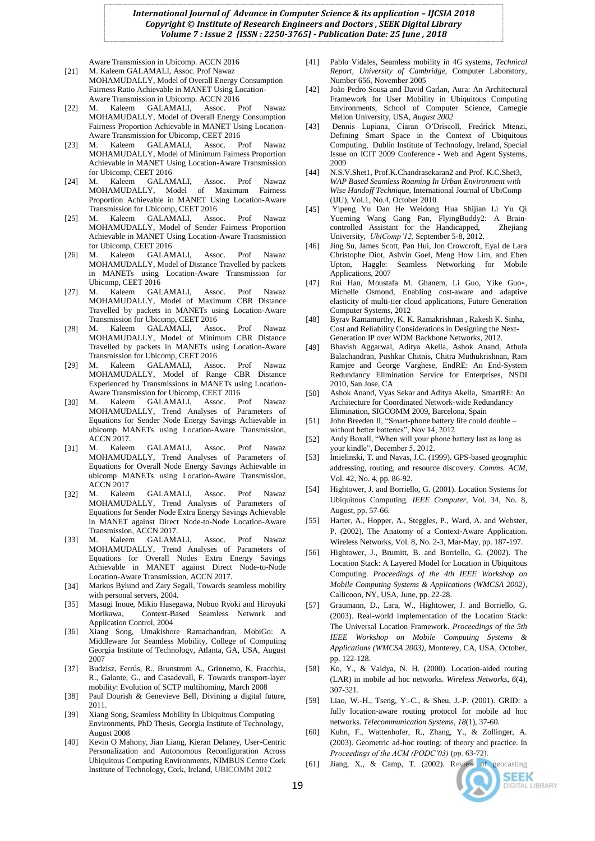Aware Transmission in Ubicomp. ACCN 2016

- [21] M. Kaleem GALAMALI, Assoc. Prof Nawaz MOHAMUDALLY, Model of Overall Energy Consumption Fairness Ratio Achievable in MANET Using Location-Aware Transmission in Ubicomp. ACCN 2016
- [22] M. Kaleem GALAMALI, Assoc. Prof Nawaz MOHAMUDALLY, Model of Overall Energy Consumption Fairness Proportion Achievable in MANET Using Location-Aware Transmission for Ubicomp, CEET 2016
- [23] M. Kaleem GALAMALI, Assoc. Prof Nawaz MOHAMUDALLY, Model of Minimum Fairness Proportion Achievable in MANET Using Location-Aware Transmission for Ubicomp, CEET 2016
- [24] M. Kaleem GALAMALI, Assoc. Prof Nawaz MOHAMUDALLY, Model of Maximum Fairness Proportion Achievable in MANET Using Location-Aware Transmission for Ubicomp, CEET 2016
- [25] M. Kaleem GALAMALI, Assoc. Prof Nawaz MOHAMUDALLY, Model of Sender Fairness Proportion Achievable in MANET Using Location-Aware Transmission for Ubicomp, CEET 2016<br>M. Kaleem GALAM
- [26] M. Kaleem GALAMALI, Assoc. Prof Nawaz MOHAMUDALLY, Model of Distance Travelled by packets in MANETs using Location-Aware Transmission for Ubicomp, CEET 2016
- [27] M. Kaleem GALAMALI, Assoc. Prof Nawaz MOHAMUDALLY, Model of Maximum CBR Distance Travelled by packets in MANETs using Location-Aware Transmission for Ubicomp, CEET 2016
- [28] M. Kaleem GALAMALI, Assoc. Prof Nawaz MOHAMUDALLY, Model of Minimum CBR Distance Travelled by packets in MANETs using Location-Aware Transmission for Ubicomp, CEET 2016
- [29] M. Kaleem GALAMALI, Assoc. Prof Nawaz MOHAMUDALLY, Model of Range CBR Distance Experienced by Transmissions in MANETs using Location-Aware Transmission for Ubicomp, CEET 2016
- [30] M. Kaleem GALAMALI, Assoc. Prof Nawaz MOHAMUDALLY, Trend Analyses of Parameters of Equations for Sender Node Energy Savings Achievable in ubicomp MANETs using Location-Aware Transmission, ACCN 2017.
- [31] M. Kaleem GALAMALI, Assoc. Prof Nawaz MOHAMUDALLY, Trend Analyses of Parameters of Equations for Overall Node Energy Savings Achievable in ubicomp MANETs using Location-Aware Transmission, ACCN 2017
- [32] M. Kaleem GALAMALI, Assoc. Prof Nawaz MOHAMUDALLY, Trend Analyses of Parameters of Equations for Sender Node Extra Energy Savings Achievable in MANET against Direct Node-to-Node Location-Aware Transmission, ACCN 2017.
- [33] M. Kaleem GALAMALI, Assoc. Prof Nawaz MOHAMUDALLY, Trend Analyses of Parameters of Equations for Overall Nodes Extra Energy Savings Achievable in MANET against Direct Node-to-Node Location-Aware Transmission, ACCN 2017.
- [34] Markus Bylund and Zary Segall, Towards seamless mobility with personal servers, 2004.
- [35] Masugi Inoue, Mikio Hasegawa, Nobuo Ryoki and Hiroyuki Morikawa, Context-Based Seamless Network and Application Control, 2004
- [36] Xiang Song, Umakishore Ramachandran, MobiGo: A Middleware for Seamless Mobility, College of Computing Georgia Institute of Technology, Atlanta, GA, USA, August 2007
- [37] Budzisz, Ferrús, R., Brunstrom A., Grinnemo, K, Fracchia, R., Galante, G., and Casadevall, F. Towards transport-layer mobility: Evolution of SCTP multihoming, March 2008
- [38] Paul Dourish & Genevieve Bell, Divining a digital future, 2011.
- [39] Xiang Song, Seamless Mobility In Ubiquitous Computing Environments, PhD Thesis, Georgia Institute of Technology, August 2008
- [40] Kevin O Mahony, Jian Liang, Kieran Delaney, User-Centric Personalization and Autonomous Reconfiguration Across Ubiquitous Computing Environments, NIMBUS Centre Cork Institute of Technology, Cork, Ireland, UBICOMM 2012
- [41] Pablo Vidales, Seamless mobility in 4G systems, *Technical Report, University of Cambridge,* Computer Laboratory*,*  Number 656, November 2005
- [42] João Pedro Sousa and David Garlan, Aura: An Architectural Framework for User Mobility in Ubiquitous Computing Environments, School of Computer Science, Carnegie Mellon University, USA, *August 2002*
- [43] Dennis Lupiana, Ciaran O'Driscoll, Fredrick Mtenzi, Defining Smart Space in the Context of Ubiquitous Computing, Dublin Institute of Technology, Ireland, Special Issue on ICIT 2009 Conference - Web and Agent Systems, 2009
- [44] N.S.V.Shet1, Prof.K.Chandrasekaran2 and Prof. K.C.Shet3, *WAP Based Seamless Roaming In Urban Environment with Wise Handoff Technique,* International Journal of UbiComp (IJU), Vol.1, No.4, October 2010
- [45] Yipeng Yu Dan He Weidong Hua Shijian Li Yu Qi Yueming Wang Gang Pan, FlyingBuddy2: A Braincontrolled Assistant for the Handicapped, University, *UbiComp'12,* September 5-8, 2012.
- [46] Jing Su, James Scott, Pan Hui, Jon Crowcroft, Eyal de Lara Christophe Diot, Ashvin Goel, Meng How Lim, and Eben Upton, Haggle: Seamless Networking for Mobile Applications, 2007
- [47] Rui Han, Moustafa M. Ghanem, Li Guo, Yike Guo∗, Michelle Osmond, Enabling cost-aware and adaptive elasticity of multi-tier cloud applications, Future Generation Computer Systems, 2012
- [48] Byrav Ramamurthy, K. K. Ramakrishnan , Rakesh K. Sinha, Cost and Reliability Considerations in Designing the Next-Generation IP over WDM Backbone Networks, 2012.
- [49] Bhavish Aggarwal, Aditya Akella, Ashok Anand, Athula Balachandran, Pushkar Chitnis, Chitra Muthukrishnan, Ram Ramjee and George Varghese, EndRE: An End-System Redundancy Elimination Service for Enterprises, [NSDI](http://www.usenix.org/events/nsdi10)  [2010,](http://www.usenix.org/events/nsdi10) San Jose, CA
- [50] Ashok Anand, Vyas Sekar and Aditya Akella, SmartRE: An Architecture for Coordinated Network-wide Redundancy Elimination[, SIGCOMM 2009,](http://conferences.sigcomm.org/sigcomm/2009) Barcelona, Spain
- [51] John Breeden II, "Smart-phone battery life could double without better batteries", Nov 14, 2012
- [52] Andy Boxall, "When will your phone battery last as long as your kindle", December 5, 2012.
- [53] Imielinski, T. and Navas, J.C. (1999). GPS-based geographic addressing, routing, and resource discovery. *Comms. ACM*, Vol. 42, No. 4, pp. 86-92.
- [54] Hightower, J. and Borriello, G. (2001). Location Systems for Ubiquitous Computing. *IEEE Computer*, Vol. 34, No. 8, August, pp. 57-66.
- [55] Harter, A., Hopper, A., Steggles, P., Ward, A. and Webster, P. (2002). The Anatomy of a Context-Aware Application. Wireless Networks, Vol. 8, No. 2-3, Mar-May, pp. 187-197.
- [56] Hightower, J., Brumitt, B. and Borriello, G. (2002). The Location Stack: A Layered Model for Location in Ubiquitous Computing. *Proceedings of the 4th IEEE Workshop on Mobile Computing Systems & Applications (WMCSA 2002)*, Callicoon, NY, USA, June, pp. 22-28.
- [57] Graumann, D., Lara, W., Hightower, J. and Borriello, G. (2003). Real-world implementation of the Location Stack: The Universal Location Framework. *Proceedings of the 5th IEEE Workshop on Mobile Computing Systems & Applications (WMCSA 2003)*, Monterey, CA, USA, October, pp. 122-128.
- [58] Ko, Y., & Vaidya, N. H. (2000). Location-aided routing (LAR) in mobile ad hoc networks. *Wireless Networks*, *6*(4), 307-321.
- [59] Liao, W.-H., Tseng, Y.-C., & Sheu, J.-P. (2001). GRID: a fully location-aware routing protocol for mobile ad hoc networks. *Telecommunication Systems*, *18*(1), 37-60.
- [60] Kuhn, F., Wattenhofer, R., Zhang, Y., & Zollinger, A. (2003). Geometric ad-hoc routing: of theory and practice. In *Proceedings of the ACM (PODC'03)* (pp. 63-72). [61] Jiang, X., & Camp, T. (2002). Review of geocasting